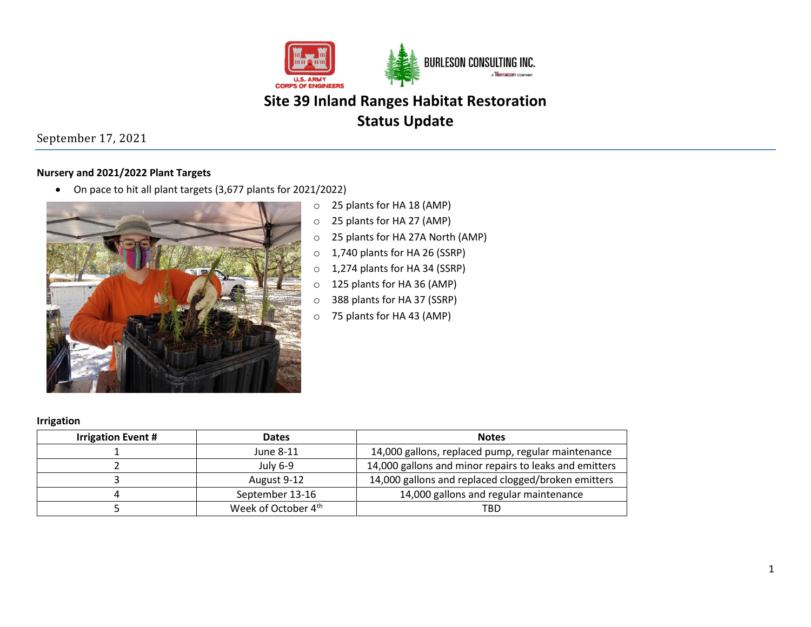

## September 17, 2021

### **Nursery and 2021/2022 Plant Targets**

• On pace to hit all plant targets (3,677 plants for 2021/2022)



- o 25 plants for HA 18 (AMP)
- o 25 plants for HA 27 (AMP)
- o 25 plants for HA 27A North (AMP)
- o 1,740 plants for HA 26 (SSRP)
- o 1,274 plants for HA 34 (SSRP)
- o 125 plants for HA 36 (AMP)
- o 388 plants for HA 37 (SSRP)
- o 75 plants for HA 43 (AMP)

|  | <b>Irrigation</b> |  |
|--|-------------------|--|
|  |                   |  |

| <b>Irrigation Event #</b> | <b>Dates</b>                                                       | <b>Notes</b>                                        |  |
|---------------------------|--------------------------------------------------------------------|-----------------------------------------------------|--|
|                           | June 8-11                                                          | 14,000 gallons, replaced pump, regular maintenance  |  |
|                           | 14,000 gallons and minor repairs to leaks and emitters<br>July 6-9 |                                                     |  |
|                           | August 9-12                                                        | 14,000 gallons and replaced clogged/broken emitters |  |
|                           | September 13-16                                                    | 14,000 gallons and regular maintenance              |  |
|                           | Week of October 4 <sup>th</sup>                                    | TBD                                                 |  |